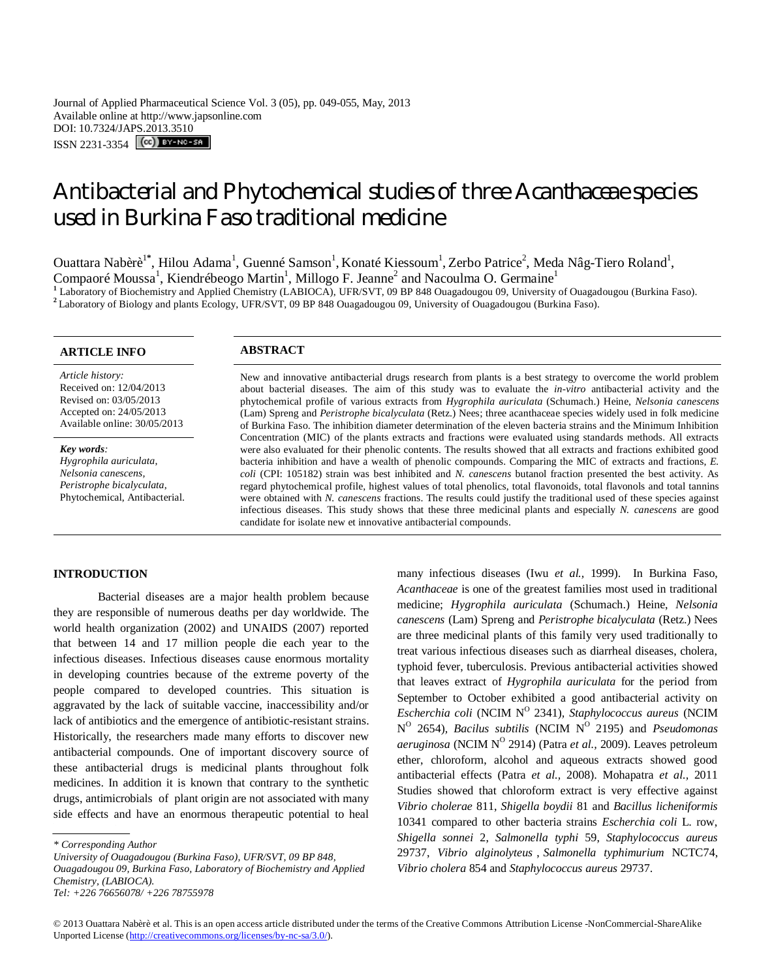Journal of Applied Pharmaceutical Science Vol. 3 (05), pp. 049-055, May, 2013 Available online at http://www.japsonline.com DOI: 10.7324/JAPS.2013.3510 ISSN 2231-3354 **(cc)** BY-NC-SA

# Antibacterial and Phytochemical studies of three *Acanthaceae* species used in Burkina Faso traditional medicine

Ouattara Nabèrè<sup>1\*</sup>, Hilou Adama<sup>1</sup>, Guenné Samson<sup>1</sup>, Konaté Kiessoum<sup>1</sup>, Zerbo Patrice<sup>2</sup>, Meda Nâg-Tiero Roland<sup>1</sup>, Compaoré Moussa<sup>1</sup>, Kiendrébeogo Martin<sup>1</sup>, Millogo F. Jeanne<sup>2</sup> and Nacoulma O. Germaine<sup>1</sup> **1** Laboratory of Biochemistry and Applied Chemistry (LABIOCA), UFR/SVT, 09 BP 848 Ouagadougou 09, University of Ouagadougou (Burkina Faso).

<sup>2</sup>Laboratory of Biology and plants Ecology, UFR/SVT, 09 BP 848 Ouagadougou 09, University of Ouagadougou (Burkina Faso).

# **ARTICLE INFO ABSTRACT**

*Article history:* Received on: 12/04/2013 Revised on: 03/05/2013 Accepted on: 24/05/2013 Available online: 30/05/2013

*Key words: Hygrophila auriculata*, *Nelsonia canescens, Peristrophe bicalyculata*, Phytochemical, Antibacterial. New and innovative antibacterial drugs research from plants is a best strategy to overcome the world problem about bacterial diseases. The aim of this study was to evaluate the *in-vitro* antibacterial activity and the phytochemical profile of various extracts from *Hygrophila auriculata* (Schumach.) Heine, *Nelsonia canescens*  (Lam) Spreng and *Peristrophe bicalyculata* (Retz.) Nees; three acanthaceae species widely used in folk medicine of Burkina Faso. The inhibition diameter determination of the eleven bacteria strains and the Minimum Inhibition Concentration (MIC) of the plants extracts and fractions were evaluated using standards methods. All extracts were also evaluated for their phenolic contents. The results showed that all extracts and fractions exhibited good bacteria inhibition and have a wealth of phenolic compounds. Comparing the MIC of extracts and fractions, *E. coli* (CPI: 105182) strain was best inhibited and *N. canescens* butanol fraction presented the best activity. As regard phytochemical profile, highest values of total phenolics, total flavonoids, total flavonols and total tannins were obtained with *N. canescens* fractions. The results could justify the traditional used of these species against infectious diseases. This study shows that these three medicinal plants and especially *N. canescens* are good candidate for isolate new et innovative antibacterial compounds.

# **INTRODUCTION**

Bacterial diseases are a major health problem because they are responsible of numerous deaths per day worldwide. The world health organization (2002) and UNAIDS (2007) reported that between 14 and 17 million people die each year to the infectious diseases. Infectious diseases cause enormous mortality in developing countries because of the extreme poverty of the people compared to developed countries. This situation is aggravated by the lack of suitable vaccine, inaccessibility and/or lack of antibiotics and the emergence of antibiotic-resistant strains. Historically, the researchers made many efforts to discover new antibacterial compounds. One of important discovery source of these antibacterial drugs is medicinal plants throughout folk medicines. In addition it is known that contrary to the synthetic drugs, antimicrobials of plant origin are not associated with many side effects and have an enormous therapeutic potential to heal

*University of Ouagadougou (Burkina Faso), UFR/SVT, 09 BP 848, Ouagadougou 09, Burkina Faso, Laboratory of Biochemistry and Applied Chemistry, (LABIOCA). Tel: +226 76656078/ +226 78755978*

many infectious diseases (Iwu *et al.,* 1999). In Burkina Faso, *Acanthaceae* is one of the greatest families most used in traditional medicine; *Hygrophila auriculata* (Schumach.) Heine, *Nelsonia canescens* (Lam) Spreng and *Peristrophe bicalyculata* (Retz.) Nees are three medicinal plants of this family very used traditionally to treat various infectious diseases such as diarrheal diseases, cholera, typhoid fever, tuberculosis. Previous antibacterial activities showed that leaves extract of *Hygrophila auriculata* for the period from September to October exhibited a good antibacterial activity on Escherchia coli (NCIM N<sup>o</sup> 2341), Staphylococcus aureus (NCIM N<sup>o</sup> 2654), *Bacilus subtilis* (NCIM N<sup>o</sup> 2195) and *Pseudomonas aeruginosa* (NCIM N<sup>o</sup> 2914) (Patra *et al.*, 2009). Leaves petroleum ether, chloroform, alcohol and aqueous extracts showed good antibacterial effects (Patra *et al.,* 2008). Mohapatra *et al.,* 2011 Studies showed that chloroform extract is very effective against *Vibrio cholerae* 811, *Shigella boydii* 81 and *Bacillus licheniformis* 10341 compared to other bacteria strains *Escherchia coli* L. row, *Shigella sonnei* 2, *Salmonella typhi* 59, *Staphylococcus aureus* 29737, *Vibrio alginolyteus* , *Salmonella typhimurium* NCTC74, *Vibrio cholera* 854 and *Staphylococcus aureus* 29737.

*<sup>\*</sup> Corresponding Author*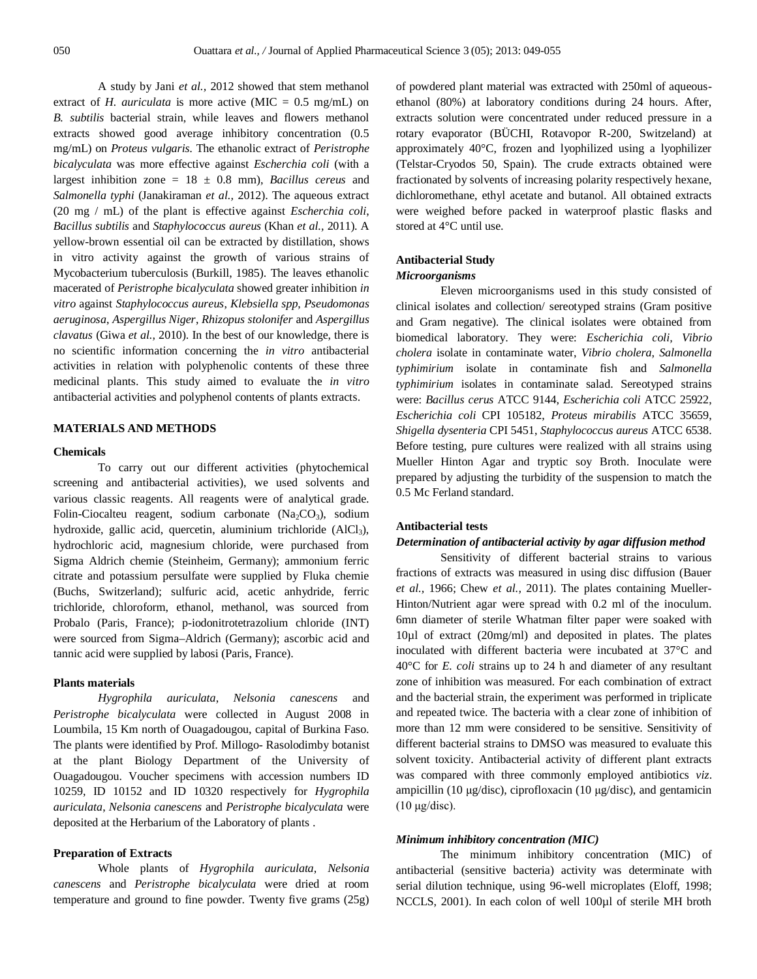A study by Jani *et al.,* 2012 showed that stem methanol extract of *H. auriculata* is more active (MIC =  $0.5$  mg/mL) on *B. subtilis* bacterial strain, while leaves and flowers methanol extracts showed good average inhibitory concentration (0.5 mg/mL) on *Proteus vulgaris.* The ethanolic extract of *Peristrophe bicalyculata* was more effective against *Escherchia coli* (with a largest inhibition zone = 18 ± 0.8 mm), *Bacillus cereus* and *Salmonella typhi* (Janakiraman *et al.,* 2012). The aqueous extract (20 mg / mL) of the plant is effective against *Escherchia coli*, *Bacillus subtilis* and *Staphylococcus aureus* (Khan *et al.,* 2011). A yellow-brown essential oil can be extracted by distillation, shows in vitro activity against the growth of various strains of Mycobacterium tuberculosis (Burkill, 1985). The leaves ethanolic macerated of *Peristrophe bicalyculata* showed greater inhibition *in vitro* against *Staphylococcus aureus*, *Klebsiella spp*, *Pseudomonas aeruginosa*, *Aspergillus Niger*, *Rhizopus stolonifer* and *Aspergillus clavatus* (Giwa *et al.,* 2010). In the best of our knowledge, there is no scientific information concerning the *in vitro* antibacterial activities in relation with polyphenolic contents of these three medicinal plants. This study aimed to evaluate the *in vitro* antibacterial activities and polyphenol contents of plants extracts.

# **MATERIALS AND METHODS**

# **Chemicals**

To carry out our different activities (phytochemical screening and antibacterial activities), we used solvents and various classic reagents. All reagents were of analytical grade. Folin-Ciocalteu reagent, sodium carbonate  $(Na_2CO_3)$ , sodium hydroxide, gallic acid, quercetin, aluminium trichloride (AlCl<sub>3</sub>), hydrochloric acid, magnesium chloride, were purchased from Sigma Aldrich chemie (Steinheim, Germany); ammonium ferric citrate and potassium persulfate were supplied by Fluka chemie (Buchs, Switzerland); sulfuric acid, acetic anhydride, ferric trichloride, chloroform, ethanol, methanol, was sourced from Probalo (Paris, France); p-iodonitrotetrazolium chloride (INT) were sourced from Sigma–Aldrich (Germany); ascorbic acid and tannic acid were supplied by labosi (Paris, France).

# **Plants materials**

*Hygrophila auriculata*, *Nelsonia canescens* and *Peristrophe bicalyculata* were collected in August 2008 in Loumbila, 15 Km north of Ouagadougou, capital of Burkina Faso. The plants were identified by Prof. Millogo- Rasolodimby botanist at the plant Biology Department of the University of Ouagadougou. Voucher specimens with accession numbers ID 10259, ID 10152 and ID 10320 respectively for *Hygrophila auriculata*, *Nelsonia canescens* and *Peristrophe bicalyculata* were deposited at the Herbarium of the Laboratory of plants .

# **Preparation of Extracts**

Whole plants of *Hygrophila auriculata*, *Nelsonia canescens* and *Peristrophe bicalyculata* were dried at room temperature and ground to fine powder. Twenty five grams (25g) of powdered plant material was extracted with 250ml of aqueousethanol (80%) at laboratory conditions during 24 hours. After, extracts solution were concentrated under reduced pressure in a rotary evaporator (BÜCHI, Rotavopor R-200, Switzeland) at approximately 40°C, frozen and lyophilized using a lyophilizer (Telstar-Cryodos 50, Spain). The crude extracts obtained were fractionated by solvents of increasing polarity respectively hexane, dichloromethane, ethyl acetate and butanol. All obtained extracts were weighed before packed in waterproof plastic flasks and stored at 4°C until use.

# **Antibacterial Study** *Microorganisms*

Eleven microorganisms used in this study consisted of clinical isolates and collection/ sereotyped strains (Gram positive and Gram negative). The clinical isolates were obtained from biomedical laboratory. They were: *Escherichia coli, Vibrio cholera* isolate in contaminate water, *Vibrio cholera*, *Salmonella typhimirium* isolate in contaminate fish and *Salmonella typhimirium* isolates in contaminate salad. Sereotyped strains were: *Bacillus cerus* ATCC 9144, *Escherichia coli* ATCC 25922, *Escherichia coli* CPI 105182, *Proteus mirabilis* ATCC 35659, *Shigella dysenteria* CPI 5451, *Staphylococcus aureus* ATCC 6538. Before testing, pure cultures were realized with all strains using Mueller Hinton Agar and tryptic soy Broth. Inoculate were prepared by adjusting the turbidity of the suspension to match the 0.5 Mc Ferland standard.

## **Antibacterial tests**

## *Determination of antibacterial activity by agar diffusion method*

Sensitivity of different bacterial strains to various fractions of extracts was measured in using disc diffusion (Bauer *et al.,* 1966; Chew *et al.,* 2011). The plates containing Mueller-Hinton/Nutrient agar were spread with 0.2 ml of the inoculum. 6mn diameter of sterile Whatman filter paper were soaked with 10µl of extract (20mg/ml) and deposited in plates. The plates inoculated with different bacteria were incubated at 37°C and 40°C for *E. coli* strains up to 24 h and diameter of any resultant zone of inhibition was measured. For each combination of extract and the bacterial strain, the experiment was performed in triplicate and repeated twice. The bacteria with a clear zone of inhibition of more than 12 mm were considered to be sensitive. Sensitivity of different bacterial strains to DMSO was measured to evaluate this solvent toxicity. Antibacterial activity of different plant extracts was compared with three commonly employed antibiotics *viz*. ampicillin (10 μg/disc), ciprofloxacin (10 μg/disc), and gentamicin (10 μg/disc).

# *Minimum inhibitory concentration (MIC)*

The minimum inhibitory concentration (MIC) of antibacterial (sensitive bacteria) activity was determinate with serial dilution technique, using 96-well microplates (Eloff, 1998; NCCLS, 2001). In each colon of well 100µl of sterile MH broth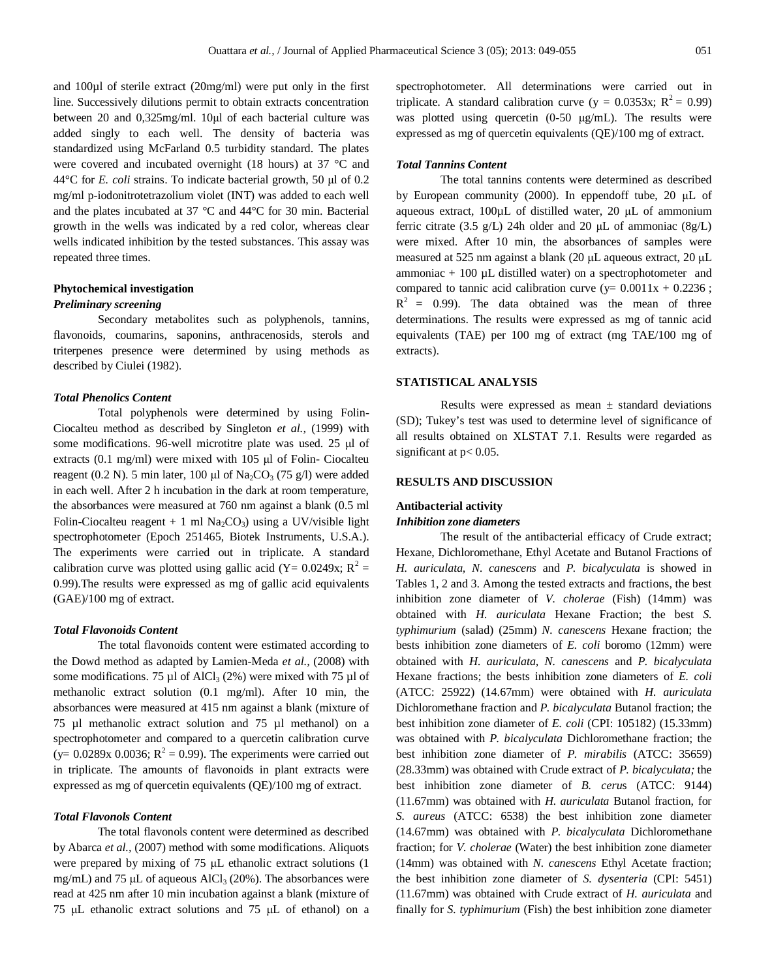and 100µl of sterile extract (20mg/ml) were put only in the first line. Successively dilutions permit to obtain extracts concentration between 20 and 0,325mg/ml. 10μl of each bacterial culture was added singly to each well. The density of bacteria was standardized using McFarland 0.5 turbidity standard. The plates were covered and incubated overnight (18 hours) at 37 °C and 44°C for *E. coli* strains. To indicate bacterial growth, 50 μl of 0.2 mg/ml p-iodonitrotetrazolium violet (INT) was added to each well and the plates incubated at 37 °C and 44°C for 30 min. Bacterial growth in the wells was indicated by a red color, whereas clear wells indicated inhibition by the tested substances. This assay was repeated three times.

# **Phytochemical investigation**

# *Preliminary screening*

Secondary metabolites such as polyphenols, tannins, flavonoids, coumarins, saponins, anthracenosids, sterols and triterpenes presence were determined by using methods as described by Ciulei (1982).

## *Total Phenolics Content*

Total polyphenols were determined by using Folin-Ciocalteu method as described by Singleton *et al.,* (1999) with some modifications. 96-well microtitre plate was used. 25 μl of extracts (0.1 mg/ml) were mixed with 105 μl of Folin- Ciocalteu reagent (0.2 N). 5 min later, 100 μl of  $Na_2CO_3$  (75 g/l) were added in each well. After 2 h incubation in the dark at room temperature, the absorbances were measured at 760 nm against a blank (0.5 ml Folin-Ciocalteu reagent + 1 ml  $Na<sub>2</sub>CO<sub>3</sub>$ ) using a UV/visible light spectrophotometer (Epoch 251465, Biotek Instruments, U.S.A.). The experiments were carried out in triplicate. A standard calibration curve was plotted using gallic acid (Y= 0.0249x;  $R^2$  = 0.99).The results were expressed as mg of gallic acid equivalents (GAE)/100 mg of extract.

# *Total Flavonoids Content*

The total flavonoids content were estimated according to the Dowd method as adapted by Lamien-Meda *et al.,* (2008) with some modifications. 75  $\mu$ l of AlCl<sub>3</sub> (2%) were mixed with 75  $\mu$ l of methanolic extract solution (0.1 mg/ml). After 10 min, the absorbances were measured at 415 nm against a blank (mixture of 75 µl methanolic extract solution and 75 µl methanol) on a spectrophotometer and compared to a quercetin calibration curve (y= 0.0289x 0.0036;  $R^2 = 0.99$ ). The experiments were carried out in triplicate. The amounts of flavonoids in plant extracts were expressed as mg of quercetin equivalents (QE)/100 mg of extract.

# *Total Flavonols Content*

The total flavonols content were determined as described by Abarca *et al.,* (2007) method with some modifications. Aliquots were prepared by mixing of 75 μL ethanolic extract solutions (1 mg/mL) and 75  $\mu$ L of aqueous AlCl<sub>3</sub> (20%). The absorbances were read at 425 nm after 10 min incubation against a blank (mixture of 75 μL ethanolic extract solutions and 75 μL of ethanol) on a spectrophotometer. All determinations were carried out in triplicate. A standard calibration curve (y =  $0.0353x$ ; R<sup>2</sup> = 0.99) was plotted using quercetin (0-50 μg/mL). The results were expressed as mg of quercetin equivalents (QE)/100 mg of extract.

## *Total Tannins Content*

The total tannins contents were determined as described by European community (2000). In eppendoff tube, 20 μL of aqueous extract, 100µL of distilled water, 20 μL of ammonium ferric citrate (3.5 g/L) 24h older and 20  $\mu$ L of ammoniac (8g/L) were mixed. After 10 min, the absorbances of samples were measured at 525 nm against a blank (20 μL aqueous extract, 20 μL ammoniac  $+100 \mu L$  distilled water) on a spectrophotometer and compared to tannic acid calibration curve (y=  $0.0011x + 0.2236$ ;  $R^2 = 0.99$ ). The data obtained was the mean of three determinations. The results were expressed as mg of tannic acid equivalents (TAE) per 100 mg of extract (mg TAE/100 mg of extracts).

# **STATISTICAL ANALYSIS**

Results were expressed as mean  $\pm$  standard deviations (SD); Tukey's test was used to determine level of significance of all results obtained on XLSTAT 7.1. Results were regarded as significant at  $p < 0.05$ .

# **RESULTS AND DISCUSSION**

# **Antibacterial activity**

# *Inhibition zone diameters*

The result of the antibacterial efficacy of Crude extract; Hexane, Dichloromethane, Ethyl Acetate and Butanol Fractions of *H. auriculata, N. canescens* and *P. bicalyculata* is showed in Tables 1, 2 and 3. Among the tested extracts and fractions, the best inhibition zone diameter of *V. cholerae* (Fish) (14mm) was obtained with *H. auriculata* Hexane Fraction; the best *S. typhimurium* (salad) (25mm) *N. canescens* Hexane fraction; the bests inhibition zone diameters of *E. coli* boromo (12mm) were obtained with *H. auriculata, N. canescens* and *P. bicalyculata*  Hexane fractions; the bests inhibition zone diameters of *E. coli* (ATCC: 25922) (14.67mm) were obtained with *H. auriculata*  Dichloromethane fraction and *P. bicalyculata* Butanol fraction; the best inhibition zone diameter of *E. coli* (CPI: 105182) (15.33mm) was obtained with *P. bicalyculata* Dichloromethane fraction; the best inhibition zone diameter of *P. mirabilis* (ATCC: 35659) (28.33mm) was obtained with Crude extract of *P. bicalyculata;* the best inhibition zone diameter of *B. ceru*s (ATCC: 9144) (11.67mm) was obtained with *H. auriculata* Butanol fraction, for *S. aureus* (ATCC: 6538) the best inhibition zone diameter (14.67mm) was obtained with *P. bicalyculata* Dichloromethane fraction; for *V. cholerae* (Water) the best inhibition zone diameter (14mm) was obtained with *N. canescens* Ethyl Acetate fraction; the best inhibition zone diameter of *S. dysenteria* (CPI: 5451) (11.67mm) was obtained with Crude extract of *H. auriculata* and finally for *S. typhimurium* (Fish) the best inhibition zone diameter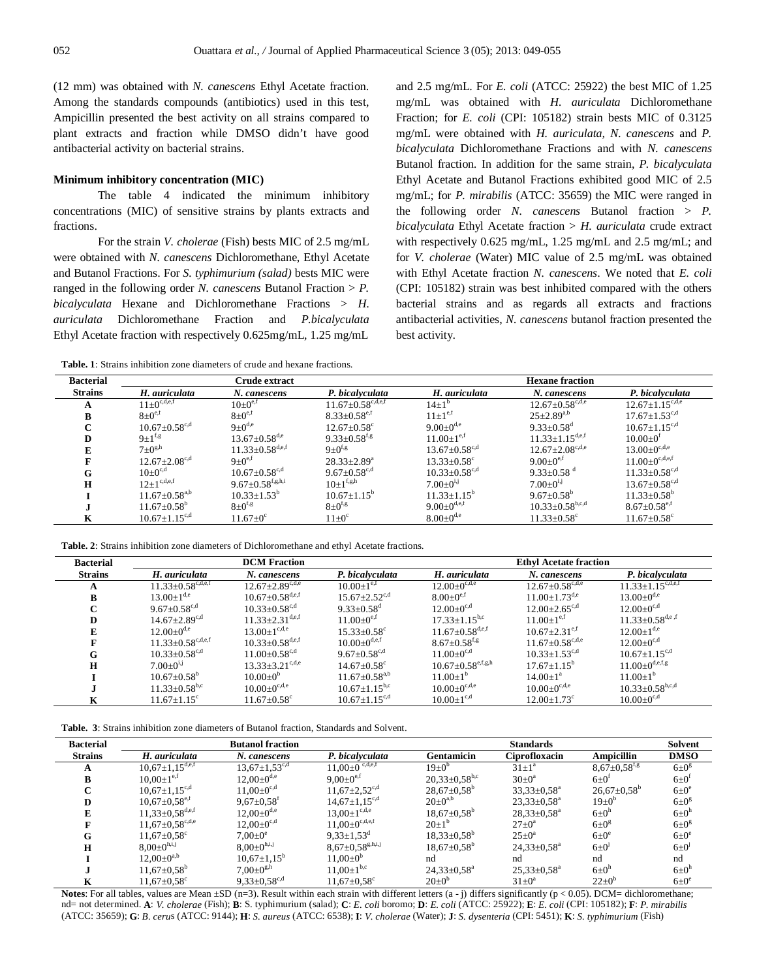(12 mm) was obtained with *N. canescens* Ethyl Acetate fraction. Among the standards compounds (antibiotics) used in this test, Ampicillin presented the best activity on all strains compared to plant extracts and fraction while DMSO didn't have good antibacterial activity on bacterial strains.

## **Minimum inhibitory concentration (MIC)**

The table 4 indicated the minimum inhibitory concentrations (MIC) of sensitive strains by plants extracts and fractions.

For the strain *V. cholerae* (Fish) bests MIC of 2.5 mg/mL were obtained with *N. canescens* Dichloromethane, Ethyl Acetate and Butanol Fractions. For *S. typhimurium (salad)* bests MIC were ranged in the following order *N. canescens* Butanol Fraction > *P. bicalyculata* Hexane and Dichloromethane Fractions > *H. auriculata* Dichloromethane Fraction and *P.bicalyculata* Ethyl Acetate fraction with respectively 0.625mg/mL, 1.25 mg/mL

**Table. 1**: Strains inhibition zone diameters of crude and hexane fractions.

and 2.5 mg/mL. For *E. coli* (ATCC: 25922) the best MIC of 1.25 mg/mL was obtained with *H. auriculata* Dichloromethane Fraction; for *E. coli* (CPI: 105182) strain bests MIC of 0.3125 mg/mL were obtained with *H. auriculata, N. canescens* and *P. bicalyculata* Dichloromethane Fractions and with *N. canescens*  Butanol fraction*.* In addition for the same strain, *P. bicalyculata* Ethyl Acetate and Butanol Fractions exhibited good MIC of 2.5 mg/mL; for *P. mirabilis* (ATCC: 35659) the MIC were ranged in the following order *N. canescens* Butanol fraction > *P. bicalyculata* Ethyl Acetate fraction > *H. auriculata* crude extract with respectively 0.625 mg/mL, 1.25 mg/mL and 2.5 mg/mL; and for *V. cholerae* (Water) MIC value of 2.5 mg/mL was obtained with Ethyl Acetate fraction *N. canescens*. We noted that *E. coli*  (CPI: 105182) strain was best inhibited compared with the others bacterial strains and as regards all extracts and fractions antibacterial activities, *N. canescens* butanol fraction presented the best activity.

| <b>Bacterial</b> |                                                                  | Crude extract                   |                                   |                                 | <b>Hexane fraction</b>            |                                 |
|------------------|------------------------------------------------------------------|---------------------------------|-----------------------------------|---------------------------------|-----------------------------------|---------------------------------|
| <b>Strains</b>   | H. auriculata                                                    | N. canescens                    | P. bicalvculata                   | H. auriculata                   | N. canescens                      | P. bicalvculata                 |
|                  | $11 \pm 0^{\overline{c},\overline{d},\overline{e},\overline{f}}$ | $10\pm0^{e,t}$                  | $11.67 \pm 0.58^{\text{c,d,e,f}}$ | $14+1^{b}$                      | $12.67+0.58^{\text{c,d,e}}$       | $12.67 \pm 1.15^{c,d,e}$        |
| B                | $8 \pm 0^{e,t}$                                                  | $8\pm0^{e,f}$                   | $8.33+0.58^{e,f}$                 | $11+1^{e,t}$                    | $25 \pm 2.89^{a,b}$               | $17.67 \pm 1.53^{c,d}$          |
| $\sim$           | $10.67 + 0.58$ <sup>c,d</sup>                                    | $9+0^{d,e}$                     | $12.67 + 0.58^{\circ}$            | $9.00+0^{d,e}$                  | $9.33 \pm 0.58$ <sup>d</sup>      | $10.67 + 1.15$ <sup>c,d</sup>   |
| D                | $9+1^{f,g}$                                                      | $13.67 \pm 0.58^{\text{d,e}}$   | 9.33 $\pm$ 0.58 <sup>t,g</sup>    | $11.00 \pm 1^{e,f}$             | $11.33 \pm 1.15^{\text{d,e,f}}$   | $10.00+0t$                      |
| Е                | $7\pm0^{g,h}$                                                    | $11.33 \pm 0.58^{\rm d,e,f}$    | $9+0^{f,g}$                       | $13.67 \pm 0.58$ <sup>c,d</sup> | $12.67 \pm 2.08^{\text{c,d,e}}$   | $13.00 \pm 0^{c,d,e}$           |
|                  | $12.67 \pm 2.08^{\text{c,d}}$                                    | $9+0^{e,f}$                     | $28.33 \pm 2.89^a$                | $13.33 \pm 0.58$ <sup>c</sup>   | 9.00 $\pm 0^{\text{e,f}}$         | $11.00\pm0^{\mathrm{c,d,e,f}}$  |
| G                | $10+0^{c,d}$                                                     | $10.67 \pm 0.58$ <sup>c,d</sup> | 9.67 $\pm$ 0.58 <sup>c,d</sup>    | $10.33 \pm 0.58$ <sup>c,d</sup> | 9.33 $\pm$ 0.58 $^{\rm d}$        | $11.33 \pm 0.58$ <sup>c,d</sup> |
| H                | $12+1^{c,d,e,f}$                                                 | $9.67{\pm}0.58^{\rm f,g,h,i}$   | $10+1$ <sup>f,g,h</sup>           | $7.00 \pm 0^{i,j}$              | $7.00+0^{1}$                      | $13.67 \pm 0.58$ <sup>c,d</sup> |
|                  | $11.67 \pm 0.58$ <sup>a,b</sup>                                  | $10.33 \pm 1.53^b$              | $10.67 + 1.15^b$                  | $11.33 \pm 1.15^{\circ}$        | $9.67 \pm 0.58^{\circ}$           | $11.33 \pm 0.58^{\circ}$        |
|                  | $11.67 + 0.58^b$                                                 | $8\pm0^{f,g}$                   | $8\pm0^{f,g}$                     | 9.00+0 <sup>d,e,f</sup>         | $10.33 \pm 0.58$ <sup>b,c,d</sup> | $8.67 \pm 0.58$ <sup>e,f</sup>  |
| K                | $10.67 \pm 1.15$ <sup>c,d</sup>                                  | $11.67 \pm 0^{\circ}$           | $11 \pm 0$ <sup>c</sup>           | $8.00 \pm 0^{d,e}$              | $11.33 \pm 0.58$ <sup>c</sup>     | $11.67 + 0.58$ <sup>c</sup>     |

**Table. 2**: Strains inhibition zone diameters of Dichloromethane and ethyl Acetate fractions.

| <b>Bacterial</b> |                                     | <b>DCM</b> Fraction             |                                 |                                   | <b>Ethyl Acetate fraction</b>   |                                   |  |  |  |
|------------------|-------------------------------------|---------------------------------|---------------------------------|-----------------------------------|---------------------------------|-----------------------------------|--|--|--|
| <b>Strains</b>   | H. auriculata                       | N. canescens                    | P. bicalvculata                 | H. auriculata                     | N. canescens                    | P. bicalvculata                   |  |  |  |
|                  | $11.33 \pm 0.58$ <sup>c,d,e,f</sup> | $12.67 \pm 2.89^{\text{c,d,e}}$ | $10.00 \pm 1^{e,t}$             | $12.00+0^{c,d,e}$                 | $12.67 \pm 0.58^{\text{c,d,e}}$ | $11.33 \pm 1.15^{c,d,e,f}$        |  |  |  |
| B                | $13.00 \pm 1^{d,e}$                 | $10.67\pm0.58^{\rm d,e,f}$      | $15.67 \pm 2.52$ <sup>c,d</sup> | $8.00+0^{e,t}$                    | $11.00 \pm 1.73^{\text{d,e}}$   | $13.00 \pm 0^{d,e}$               |  |  |  |
| r                | $9.67 \pm 0.58^{\rm c,d}$           | $10.33 \pm 0.58^{\text{c,d}}$   | $9.33 + 0.58^d$                 | $12.00 \pm 0^{\text{c,d}}$        | $12.00 \pm 2.65^{\text{c,d}}$   | $12.00 \pm 0^{c,d}$               |  |  |  |
| D                | $14.67 + 2.89$ <sup>c,d</sup>       | $11.33 \pm 2.31^{\text{d,e,f}}$ | $11.00+0^{e,t}$                 | $17.33 \pm 1.15^{b,c}$            | $11.00+1^{e,t}$                 | $11.33 \pm 0.58$ <sup>d,e,f</sup> |  |  |  |
| E                | $12.00 \pm 0^{d,e}$                 | $13.00 \pm 1^{c,d,e}$           | $15.33 \pm 0.58$ <sup>c</sup>   | $11.67 \pm 0.58$ <sup>d,e,f</sup> | $10.67 + 2.31$ <sup>e,f</sup>   | $12.00 \pm 1^{d,e}$               |  |  |  |
|                  | $11.33 \pm 0.58^{\text{c,d,e,f}}$   | $10.33 \pm 0.58^{\rm d,e,f}$    | $10.00 \pm 0^{d,e,f}$           | $8.67 + 0.58$ <sup>t,g</sup>      | $11.67 \pm 0.58^{\text{c,d,e}}$ | $12.00 \pm 0^{c,d}$               |  |  |  |
| G                | $10.33 \pm 0.58^{\text{c,d}}$       | $11.00 \pm 0.58^{\text{c,d}}$   | 9.67 $\pm$ 0.58 <sup>c,d</sup>  | $11.00 + 0^{c,d}$                 | $10.33 \pm 1.53^{c,d}$          | $10.67 \pm 1.15^{c,d}$            |  |  |  |
| Н                | $7.00 \pm 0^{i,j}$                  | $13.33 \pm 3.21^{\text{c,d,e}}$ | $14.67 \pm 0.58$ <sup>c</sup>   | $10.67 \pm 0.58^{\rm e,f,g,h}$    | $17.67 + 1.15^b$                | $11.00\pm0^{\rm d,e,f,g}$         |  |  |  |
|                  | $10.67 \pm 0.58^{\rm b}$            | $10.00+0^{b}$                   | $11.67 \pm 0.58$ <sup>a,b</sup> | $11.00+1^{b}$                     | $14.00+1^a$                     | $11.00 \pm 1^{b}$                 |  |  |  |
|                  | $11.33 \pm 0.58$ <sup>b,c</sup>     | $10.00 + 0^{c,d,e}$             | $10.67 \pm 1.15^{b,c}$          | $10.00 \pm 0^{c,d,e}$             | $10.00 \pm 0^{c,d,e}$           | $10.33 \pm 0.58$ <sup>b,c,d</sup> |  |  |  |
|                  | $11.67 + 1.15^{\circ}$              | $11.67 + 0.58^{\circ}$          | $10.67 \pm 1.15$ <sup>c,d</sup> | $10.00+1^{c,d}$                   | $12.00+1.73^{\circ}$            | $10.00 \pm 0^{c,d}$               |  |  |  |

**Table. 3**: Strains inhibition zone diameters of Butanol fraction, Standards and Solvent.

| <b>Bacterial</b> |                                   | <b>Butanol fraction</b>      |                                                 |                               | <b>Standards</b>              |                                | Solvent              |
|------------------|-----------------------------------|------------------------------|-------------------------------------------------|-------------------------------|-------------------------------|--------------------------------|----------------------|
| <b>Strains</b>   | H. auriculata                     | N. canescens                 | P. bicalvculata                                 | Gentamicin                    | Ciprofloxacin                 | <b>Ampicillin</b>              | <b>DMSO</b>          |
| A                | $10,67 \pm 1,15$ <sup>d,e,f</sup> | $13,67 \pm 1,53^{c,d}$       | $11,00 \pm 0$ c, d,e,f                          | $19 \pm 0^{6}$                | $31 \pm 1^a$                  | $8,67 \pm 0.58$ <sup>f,g</sup> | $6\pm0^g$            |
| B                | $10.00 \pm 1^{e,f}$               | $12.00 \pm 0^{d,e}$          | $9.00 \pm 0^{e,f}$                              | $20,33\pm0,58^{\rm b,c}$      | $30\pm0^a$                    | $6 \pm 0^{\text{t}}$           | $6\pm0^{\text{t}}$   |
| $\sim$           | $10,67 \pm 1,15^{c,d}$            | $11.00 \pm 0^{c,d}$          | $11,67 \pm 2,52^{c,d}$                          | $28,67 \pm 0.58$ <sup>b</sup> | $33.33 \pm 0.58^{\text{a}}$   | $26,67 \pm 0.58^{\circ}$       | $6 \pm 0^e$          |
| D                | $10,67\pm0,58^{\mathrm{e,f}}$     | $9,67 \pm 0.58$ <sup>t</sup> | $14,67 \pm 1,15^{c,d}$                          | $20 \pm 0^{a,b}$              | $23.33 \pm 0.58^{\text{a}}$   | $19\pm0^6$                     | $6\pm0^8$            |
| E                | $11,33\pm0,58^{\rm d,e,f}$        | $12.00 \pm 0^{d,e}$          | $13.00 \pm 1^{c,d,e}$                           | $18,67 \pm 0.58$ <sup>b</sup> | $28,33\pm0.58^a$              | $6\pm0^{h}$                    | $6\pm0^{h}$          |
|                  | $11,67 \pm 0,58^{\rm c,d,e}$      | $12,00 \pm 0^{\text{c,d}}$   | $11,00 \pm 0^{c,d,e,f}$                         | $20\pm1^{b}$                  | $27 \pm 0^{\rm a}$            | $6\pm0^g$                      | $6\pm0^{\circ}$      |
| G                | $11,67 \pm 0.58$ <sup>c</sup>     | $7.00 \pm 0^e$               | $9.33 \pm 1.53^d$                               | $18,33\pm0,58^{\rm b}$        | $25 \pm 0^a$                  | $6\pm0^\circ$                  | $6 \pm 0^e$          |
| $\mathbf H$      | $8,00\pm0^{h,i,j}$                | $8.00 \pm 0^{h,i,j}$         | $8{,}67{\scriptstyle \pm 0{,}58^{\rm g,h,i,j}}$ | $18,67 \pm 0.58$ <sup>b</sup> | $24,33 \pm 0.58$ <sup>a</sup> | $6\pm0$ <sup>1</sup>           | $6\pm0$ <sup>J</sup> |
|                  | $12,00\pm0^{a,b}$                 | $10,67 \pm 1,15^{\circ}$     | $11,00\pm0^6$                                   | nd                            | nd                            | nd                             | nd                   |
|                  | $11,67 \pm 0.58$ <sup>b</sup>     | $7.00 \pm 0^{g,h}$           | $11.00 \pm 1^{b,c}$                             | $24,33 \pm 0.58$ <sup>a</sup> | $25,33 \pm 0.58$ <sup>a</sup> | $6\pm0^{\rm h}$                | $6\pm0^h$            |
| K                | $11,67 \pm 0.58$ <sup>c</sup>     | $9,33\pm0,58^{c,d}$          | $11.67 \pm 0.58$ <sup>c</sup>                   | $20\pm0^6$                    | $31 \pm 0^a$                  | $22 \pm 0^b$                   | $6\pm0$ <sup>e</sup> |

**Notes**: For all tables, values are Mean  $\pm SD$  (n=3). Result within each strain with different letters (a - j) differs significantly (p < 0.05). DCM= dichloromethane; nd= not determined. A: V. cholerae (Fish); B: S. typhimurium (salad); C: E. coli boromo; D: E. coli (ATCC: 25922); E: E. coli (CPI: 105182); F: P. mirabilis (ATCC: 35659); **G**: *B. ceru*s (ATCC: 9144); **H**: *S. aureus* (ATCC: 6538); **I**: *V. cholerae* (Water); **J**: *S. dysenteria* (CPI: 5451); **K**: *S. typhimurium* (Fish)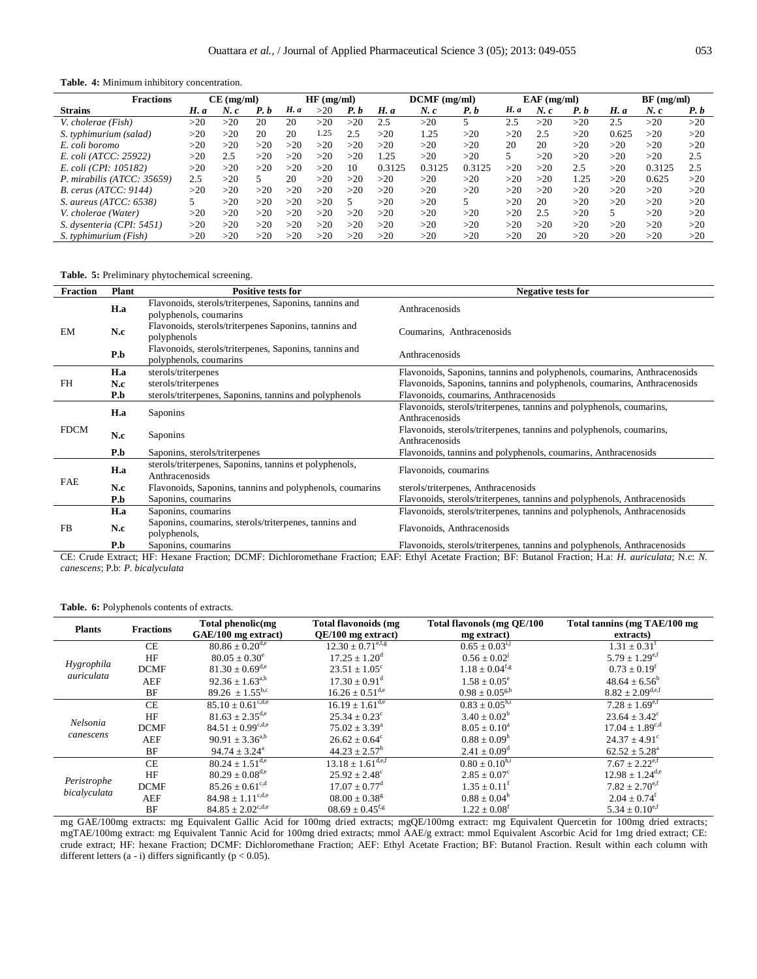**Table. 4:** Minimum inhibitory concentration.

| <b>Fractions</b>           |      | CE (mg/ml) |      |      | HF(mg/ml) |     |        | $DCMF$ (mg/ml) |        |             | $EAF$ (mg/ml) |      |       | $BF$ (mg/ml) |     |
|----------------------------|------|------------|------|------|-----------|-----|--------|----------------|--------|-------------|---------------|------|-------|--------------|-----|
| <b>Strains</b>             | H. a | N. c       | P. b | H. a | >20       | P.b | H. a   | $N$ . $c$      | P. b   | <b>H.</b> a | $N$ . $c$     | P.b  | H. a  | $N$ . $c$    | P.b |
| V. cholerae (Fish)         | >20  | >20        | 20   | 20   | >20       | >20 | 2.5    | >20            |        | 2.5         | >20           | >20  | 2.5   | >20          | >20 |
| S. typhimurium (salad)     | >20  | >20        | 20   | 20   | 1.25      | 2.5 | >20    | 1.25           | >20    | >20         | 2.5           | >20  | 0.625 | >20          | >20 |
| E. coli boromo             | >20  | >20        | >20  | >20  | >20       | >20 | >20    | >20            | >20    | 20          | 20            | >20  | >20   | >20          | >20 |
| E. coli (ATCC: 25922)      | >20  | 2.5        | >20  | >20  | >20       | >20 | 1.25   | >20            | >20    |             | >20           | >20  | >20   | >20          | 2.5 |
| E. coli (CPI: 105182)      | >20  | >20        | >20  | >20  | >20       | 10  | 0.3125 | 0.3125         | 0.3125 | >20         | >20           | 2.5  | >20   | 0.3125       | 2.5 |
| P. mirabilis (ATCC: 35659) | 2.5  | >20        |      | 20   | >20       | >20 | >20    | >20            | >20    | >20         | >20           | 1.25 | >20   | 0.625        | >20 |
| $B.$ cerus (ATCC: 9144)    | >20  | >20        | >20  | >20  | >20       | >20 | >20    | >20            | >20    | >20         | >20           | >20  | >20   | >20          | >20 |
| S. aureus $(ATCC: 6538)$   |      | >20        | >20  | >20  | >20       |     | >20    | >20            |        | >20         | 20            | >20  | >20   | >20          | >20 |
| V. cholerae (Water)        | >20  | >20        | >20  | >20  | >20       | >20 | >20    | >20            | >20    | >20         | 2.5           | >20  |       | >20          | >20 |
| S. dysenteria (CPI: 5451)  | >20  | >20        | >20  | >20  | >20       | >20 | >20    | >20            | >20    | >20         | >20           | >20  | >20   | >20          | >20 |
| S. typhimurium (Fish)      | >20  | >20        | >20  | >20  | >20       | >20 | >20    | >20            | >20    | >20         | 20            | >20  | >20   | >20          | >20 |

**Table. 5:** Preliminary phytochemical screening.

| <b>Fraction</b> | <b>Plant</b> | <b>Positive tests for</b>                                                        | <b>Negative tests for</b>                                                              |
|-----------------|--------------|----------------------------------------------------------------------------------|----------------------------------------------------------------------------------------|
|                 | H.a          | Flavonoids, sterols/triterpenes, Saponins, tannins and<br>polyphenols, coumarins | Anthracenosids                                                                         |
| EM              | N.c          | Flavonoids, sterols/triterpenes Saponins, tannins and<br>polyphenols             | Coumarins, Anthracenosids                                                              |
|                 | P.b          | Flavonoids, sterols/triterpenes, Saponins, tannins and<br>polyphenols, coumarins | Anthracenosids                                                                         |
|                 | H.a          | sterols/triterpenes                                                              | Flavonoids, Saponins, tannins and polyphenols, coumarins, Anthracenosids               |
| FH.             | N.c          | sterols/triterpenes                                                              | Flavonoids, Saponins, tannins and polyphenols, coumarins, Anthracenosids               |
|                 | P.b          | sterols/triterpenes, Saponins, tannins and polyphenols                           | Flavonoids, coumarins, Anthracenosids                                                  |
|                 | H.a          | Saponins                                                                         | Flavonoids, sterols/triterpenes, tannins and polyphenols, coumarins,<br>Anthracenosids |
| <b>FDCM</b>     | N.c          | Saponins                                                                         | Flavonoids, sterols/triterpenes, tannins and polyphenols, coumarins,<br>Anthracenosids |
|                 | P.b          | Saponins, sterols/triterpenes                                                    | Flavonoids, tannins and polyphenols, coumarins, Anthracenosids                         |
| FAE             | H.a          | sterols/triterpenes, Saponins, tannins et polyphenols,<br>Anthracenosids         | Flavonoids, coumarins                                                                  |
|                 | N.c          | Flavonoids, Saponins, tannins and polyphenols, coumarins                         | sterols/triterpenes, Anthracenosids                                                    |
|                 | P.b          | Saponins, coumarins                                                              | Flavonoids, sterols/triterpenes, tannins and polyphenols, Anthracenosids               |
|                 | H.a          | Saponins, coumarins                                                              | Flavonoids, sterols/triterpenes, tannins and polyphenols, Anthracenosids               |
| FB              | N.c          | Saponins, coumarins, sterols/triterpenes, tannins and<br>polyphenols,            | Flavonoids, Anthracenosids                                                             |
|                 | P.b          | Saponins, coumarins                                                              | Flavonoids, sterols/triterpenes, tannins and polyphenols, Anthracenosids               |

CE: Crude Extract; HF: Hexane Fraction; DCMF: Dichloromethane Fraction; EAF: Ethyl Acetate Fraction; BF: Butanol Fraction; H.a: *H. auriculata*; N.c: *N. canescens*; P.b: *P. bicalyculata*

| <b>Plants</b> | <b>Fractions</b> | Total phenolic(mg                             | <b>Total flavonoids (mg)</b>    | Total flavonols (mg QE/100     | Total tannins (mg TAE/100 mg   |
|---------------|------------------|-----------------------------------------------|---------------------------------|--------------------------------|--------------------------------|
|               |                  | GAE/100 mg extract)                           | OE/100 mg extract)              | mg extract)                    | extracts)                      |
|               | <b>CE</b>        | $80.86 \pm 0.20$ <sup>d,e</sup>               | $12.30 \pm 0.71^{\text{e,f,g}}$ | $0.65 \pm 0.03^{1,1}$          | $1.31 \pm 0.31^{\text{t}}$     |
|               | HF               | $80.05 \pm 0.30^e$                            | $17.25 \pm 1.20^{\rm d}$        | $0.56 \pm 0.02^{\text{J}}$     | $5.79 \pm 1.29$ <sup>e,f</sup> |
| Hygrophila    | <b>DCMF</b>      | $81.30 \pm 0.69^{\text{d,e}}$                 | $23.51 \pm 1.05^{\circ}$        | $1.18 \pm 0.04$ <sup>f,g</sup> | $0.73 \pm 0.19^{\rm f}$        |
| auriculata    | AEF              | $92.36 \pm 1.63^{a,b}$                        | $17.30 \pm 0.91$ <sup>d</sup>   | $1.58 \pm 0.05^e$              | $48.64 \pm 6.56^b$             |
|               | BF               | 89.26 $\pm 1.55^{b,c}$                        | $16.26 \pm 0.51^{\text{d,e}}$   | $0.98 \pm 0.05$ <sup>g,h</sup> | $8.82 \pm 2.09^{\text{d,e,f}}$ |
|               | CE               | $85.10 \pm 0.61^{\text{c,d,e}}$               | $16.19 + 1.61^{d,e}$            | $0.83 \pm 0.05^{h,i}$          | $7.28 \pm 1.69^{\text{e,f}}$   |
|               | HF               | $81.63 + 2.35^{\text{d,e}}$                   | $25.34 \pm 0.23^{\circ}$        | $3.40 \pm 0.02^b$              | $23.64 \pm 3.42^{\circ}$       |
| Nelsonia      | <b>DCMF</b>      | $84.51 \pm 0.99^{\text{c},\text{d},\text{e}}$ | $75.02 \pm 3.39^{\circ}$        | $8.05 \pm 0.10^a$              | $17.04 \pm 1.89^{c,d}$         |
| canescens     | <b>AEF</b>       | $90.91 \pm 3.36^{a,b}$                        | $26.62 \pm 0.64$ <sup>c</sup>   | $0.88 \pm 0.09^{\rm h}$        | $24.37 \pm 4.91^{\circ}$       |
|               | BF               | $94.74 \pm 3.24^{\circ}$                      | $44.23 \pm 2.57^{\rm b}$        | $2.41 \pm 0.09^{\rm d}$        | $62.52 \pm 5.28^{\circ}$       |
|               | CE               | $80.24 \pm 1.51^{\overline{d,e}}$             | $13.18 \pm 1.61^{\text{d,e,f}}$ | $0.80 \pm 0.10^{h,i}$          | $7.67 \pm 2.22$ <sup>e,f</sup> |
|               | HF               | $80.29 \pm 0.08^{\text{d,e}}$                 | $25.92 \pm 2.48^{\circ}$        | $2.85 \pm 0.07^{\circ}$        | $12.98 \pm 1.24^{\text{d,e}}$  |
| Peristrophe   | <b>DCMF</b>      | $85.26 \pm 0.61^{\text{c,d}}$                 | $17.07 \pm 0.77$ <sup>d</sup>   | $1.35 \pm 0.11^{\rm f}$        | $7.82 \pm 2.70$ <sup>e,f</sup> |
| bicalyculata  | AEF              | $84.98 \pm 1.11^{\text{c,d,e}}$               | $08.00 \pm 0.38$ <sup>g</sup>   | $0.88 \pm 0.04^{\rm h}$        | $2.04 \pm 0.74$ <sup>f</sup>   |
|               | BF               | $84.85 \pm 2.02^{\text{c,d,e}}$               | $08.69 \pm 0.45$ <sup>f,g</sup> | $1.22 \pm 0.08$ <sup>f</sup>   | $5.34 \pm 0.10$ <sup>e,f</sup> |

**Table. 6:** Polyphenols contents of extracts.

mg GAE/100mg extracts: mg Equivalent Gallic Acid for 100mg dried extracts; mgQE/100mg extract: mg Equivalent Quercetin for 100mg dried extracts; mgTAE/100mg extract: mg Equivalent Tannic Acid for 100mg dried extracts; mmol AAE/g extract: mmol Equivalent Ascorbic Acid for 1mg dried extract; CE: crude extract; HF: hexane Fraction; DCMF: Dichloromethane Fraction; AEF: Ethyl Acetate Fraction; BF: Butanol Fraction. Result within each column with different letters  $(a - i)$  differs significantly  $(p < 0.05)$ .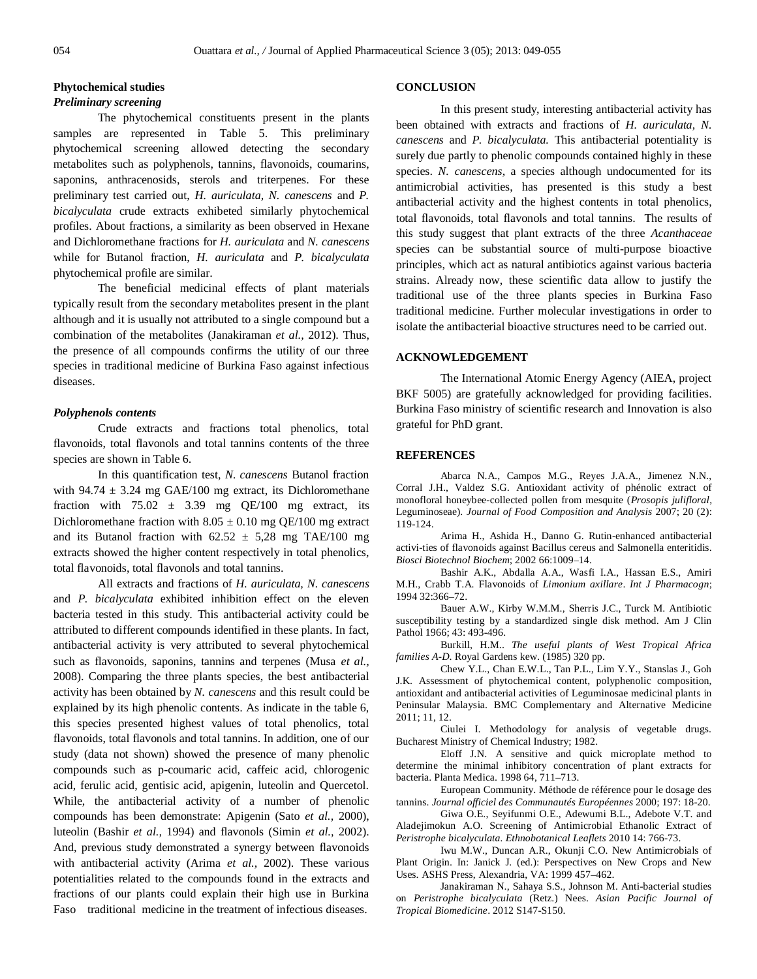# **Phytochemical studies**

# *Preliminary screening*

The phytochemical constituents present in the plants samples are represented in Table 5. This preliminary phytochemical screening allowed detecting the secondary metabolites such as polyphenols, tannins, flavonoids, coumarins, saponins, anthracenosids, sterols and triterpenes. For these preliminary test carried out, *H. auriculata, N. canescens* and *P. bicalyculata* crude extracts exhibeted similarly phytochemical profiles. About fractions, a similarity as been observed in Hexane and Dichloromethane fractions for *H. auriculata* and *N. canescens* while for Butanol fraction, *H. auriculata* and *P. bicalyculata* phytochemical profile are similar.

The beneficial medicinal effects of plant materials typically result from the secondary metabolites present in the plant although and it is usually not attributed to a single compound but a combination of the metabolites (Janakiraman *et al.,* 2012). Thus, the presence of all compounds confirms the utility of our three species in traditional medicine of Burkina Faso against infectious diseases.

## *Polyphenols contents*

Crude extracts and fractions total phenolics, total flavonoids, total flavonols and total tannins contents of the three species are shown in Table 6.

In this quantification test, *N. canescens* Butanol fraction with 94.74  $\pm$  3.24 mg GAE/100 mg extract, its Dichloromethane fraction with  $75.02 \pm 3.39$  mg QE/100 mg extract, its Dichloromethane fraction with  $8.05 \pm 0.10$  mg QE/100 mg extract and its Butanol fraction with  $62.52 \pm 5.28$  mg TAE/100 mg extracts showed the higher content respectively in total phenolics, total flavonoids, total flavonols and total tannins.

All extracts and fractions of *H. auriculata, N. canescens* and *P. bicalyculata* exhibited inhibition effect on the eleven bacteria tested in this study. This antibacterial activity could be attributed to different compounds identified in these plants. In fact, antibacterial activity is very attributed to several phytochemical such as flavonoids, saponins, tannins and terpenes (Musa *et al.,* 2008). Comparing the three plants species, the best antibacterial activity has been obtained by *N. canescens* and this result could be explained by its high phenolic contents. As indicate in the table 6, this species presented highest values of total phenolics, total flavonoids, total flavonols and total tannins. In addition, one of our study (data not shown) showed the presence of many phenolic compounds such as p-coumaric acid, caffeic acid, chlorogenic acid, ferulic acid, gentisic acid, apigenin, luteolin and Quercetol. While, the antibacterial activity of a number of phenolic compounds has been demonstrate: Apigenin (Sato *et al.,* 2000), luteolin (Bashir *et al.,* 1994) and flavonols (Simin *et al.,* 2002). And, previous study demonstrated a synergy between flavonoids with antibacterial activity (Arima *et al.,* 2002). These various potentialities related to the compounds found in the extracts and fractions of our plants could explain their high use in Burkina Faso traditional medicine in the treatment of infectious diseases.

#### **CONCLUSION**

In this present study, interesting antibacterial activity has been obtained with extracts and fractions of *H. auriculata, N. canescens* and *P. bicalyculata.* This antibacterial potentiality is surely due partly to phenolic compounds contained highly in these species. *N. canescens,* a species although undocumented for its antimicrobial activities, has presented is this study a best antibacterial activity and the highest contents in total phenolics, total flavonoids, total flavonols and total tannins. The results of this study suggest that plant extracts of the three *Acanthaceae* species can be substantial source of multi-purpose bioactive principles, which act as natural antibiotics against various bacteria strains. Already now, these scientific data allow to justify the traditional use of the three plants species in Burkina Faso traditional medicine. Further molecular investigations in order to isolate the antibacterial bioactive structures need to be carried out.

# **ACKNOWLEDGEMENT**

The International Atomic Energy Agency (AIEA, project BKF 5005) are gratefully acknowledged for providing facilities. Burkina Faso ministry of scientific research and Innovation is also grateful for PhD grant.

# **REFERENCES**

Abarca N.A., Campos M.G., Reyes J.A.A., Jimenez N.N., Corral J.H., Valdez S.G. Antioxidant activity of phénolic extract of monofloral honeybee-collected pollen from mesquite (*Prosopis julifloral*, Leguminoseae). *Journal of Food Composition and Analysis* 2007; 20 (2): 119-124.

Arima H., Ashida H., Danno G. Rutin-enhanced antibacterial activi-ties of flavonoids against Bacillus cereus and Salmonella enteritidis. *Biosci Biotechnol Biochem*; 2002 66:1009–14.

Bashir A.K., Abdalla A.A., Wasfi I.A., Hassan E.S., Amiri M.H., Crabb T.A. Flavonoids of *Limonium axillare*. *Int J Pharmacogn*; 1994 32:366–72.

Bauer A.W., Kirby W.M.M., Sherris J.C., Turck M. Antibiotic susceptibility testing by a standardized single disk method. Am J Clin Pathol 1966; 43: 493-496.

Burkill, H.M.. *The useful plants of West Tropical Africa families A-D*. Royal Gardens kew. (1985) 320 pp.

Chew Y.L., Chan E.W.L., Tan P.L., Lim Y.Y., Stanslas J., Goh J.K. Assessment of phytochemical content, polyphenolic composition, antioxidant and antibacterial activities of Leguminosae medicinal plants in Peninsular Malaysia. BMC Complementary and Alternative Medicine 2011; 11, 12.

Ciulei I. Methodology for analysis of vegetable drugs. Bucharest Ministry of Chemical Industry; 1982.

Eloff J.N. A sensitive and quick microplate method to determine the minimal inhibitory concentration of plant extracts for bacteria. Planta Medica. 1998 64, 711–713.

European Community. Méthode de référence pour le dosage des tannins. *Journal officiel des Communautés Européennes* 2000; 197: 18-20.

Giwa O.E., Seyifunmi O.E., Adewumi B.L., Adebote V.T. and Aladejimokun A.O. Screening of Antimicrobial Ethanolic Extract of *Peristrophe bicalyculata. Ethnobotanical Leaflets* 2010 14: 766-73.

Iwu M.W., Duncan A.R., Okunji C.O. New Antimicrobials of Plant Origin. In: Janick J. (ed.): Perspectives on New Crops and New Uses. ASHS Press, Alexandria, VA: 1999 457–462.

Janakiraman N., Sahaya S.S., Johnson M. Anti-bacterial studies on *Peristrophe bicalyculata* (Retz.) Nees. *Asian Pacific Journal of Tropical Biomedicine*. 2012 S147-S150.